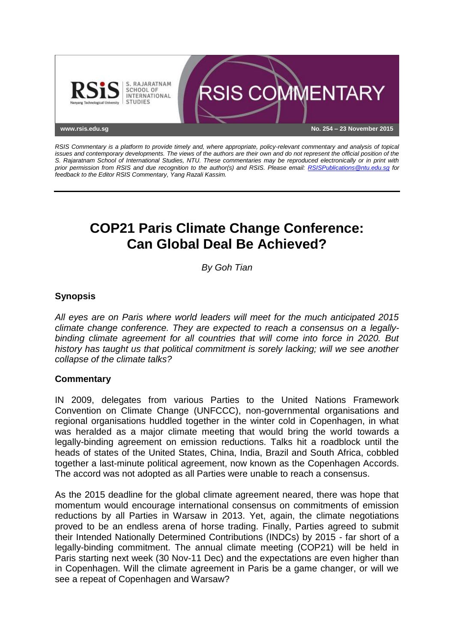

*RSIS Commentary is a platform to provide timely and, where appropriate, policy-relevant commentary and analysis of topical issues and contemporary developments. The views of the authors are their own and do not represent the official position of the S. Rajaratnam School of International Studies, NTU. These commentaries may be reproduced electronically or in print with prior permission from RSIS and due recognition to the author(s) and RSIS. Please email: [RSISPublications@ntu.edu.sg](mailto:RSISPublications@ntu.edu.sg) for feedback to the Editor RSIS Commentary, Yang Razali Kassim.*

# **COP21 Paris Climate Change Conference: Can Global Deal Be Achieved?**

*By Goh Tian*

## **Synopsis**

*All eyes are on Paris where world leaders will meet for the much anticipated 2015 climate change conference. They are expected to reach a consensus on a legallybinding climate agreement for all countries that will come into force in 2020. But history has taught us that political commitment is sorely lacking; will we see another collapse of the climate talks?*

## **Commentary**

IN 2009, delegates from various Parties to the United Nations Framework Convention on Climate Change (UNFCCC), non-governmental organisations and regional organisations huddled together in the winter cold in Copenhagen, in what was heralded as a major climate meeting that would bring the world towards a legally-binding agreement on emission reductions. Talks hit a roadblock until the heads of states of the United States, China, India, Brazil and South Africa, cobbled together a last-minute political agreement, now known as the Copenhagen Accords. The accord was not adopted as all Parties were unable to reach a consensus.

As the 2015 deadline for the global climate agreement neared, there was hope that momentum would encourage international consensus on commitments of emission reductions by all Parties in Warsaw in 2013. Yet, again, the climate negotiations proved to be an endless arena of horse trading. Finally, Parties agreed to submit their Intended Nationally Determined Contributions (INDCs) by 2015 - far short of a legally-binding commitment. The annual climate meeting (COP21) will be held in Paris starting next week (30 Nov-11 Dec) and the expectations are even higher than in Copenhagen. Will the climate agreement in Paris be a game changer, or will we see a repeat of Copenhagen and Warsaw?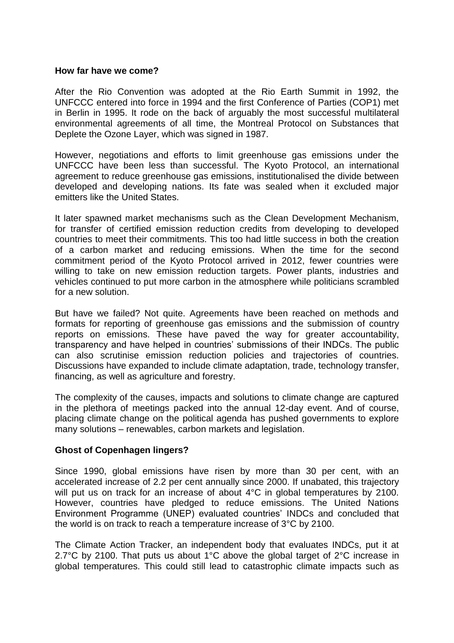#### **How far have we come?**

After the Rio Convention was adopted at the Rio Earth Summit in 1992, the UNFCCC entered into force in 1994 and the first Conference of Parties (COP1) met in Berlin in 1995. It rode on the back of arguably the most successful multilateral environmental agreements of all time, the Montreal Protocol on Substances that Deplete the Ozone Layer, which was signed in 1987.

However, negotiations and efforts to limit greenhouse gas emissions under the UNFCCC have been less than successful. The Kyoto Protocol, an international agreement to reduce greenhouse gas emissions, institutionalised the divide between developed and developing nations. Its fate was sealed when it excluded major emitters like the United States.

It later spawned market mechanisms such as the Clean Development Mechanism, for transfer of certified emission reduction credits from developing to developed countries to meet their commitments. This too had little success in both the creation of a carbon market and reducing emissions. When the time for the second commitment period of the Kyoto Protocol arrived in 2012, fewer countries were willing to take on new emission reduction targets. Power plants, industries and vehicles continued to put more carbon in the atmosphere while politicians scrambled for a new solution.

But have we failed? Not quite. Agreements have been reached on methods and formats for reporting of greenhouse gas emissions and the submission of country reports on emissions. These have paved the way for greater accountability, transparency and have helped in countries' submissions of their INDCs. The public can also scrutinise emission reduction policies and trajectories of countries. Discussions have expanded to include climate adaptation, trade, technology transfer, financing, as well as agriculture and forestry.

The complexity of the causes, impacts and solutions to climate change are captured in the plethora of meetings packed into the annual 12-day event. And of course, placing climate change on the political agenda has pushed governments to explore many solutions – renewables, carbon markets and legislation.

### **Ghost of Copenhagen lingers?**

Since 1990, global emissions have risen by more than 30 per cent, with an accelerated increase of 2.2 per cent annually since 2000. If unabated, this trajectory will put us on track for an increase of about 4°C in global temperatures by 2100. However, countries have pledged to reduce emissions. The United Nations Environment Programme (UNEP) evaluated countries' INDCs and concluded that the world is on track to reach a temperature increase of 3°C by 2100.

The Climate Action Tracker, an independent body that evaluates INDCs, put it at 2.7°C by 2100. That puts us about 1°C above the global target of 2°C increase in global temperatures. This could still lead to catastrophic climate impacts such as